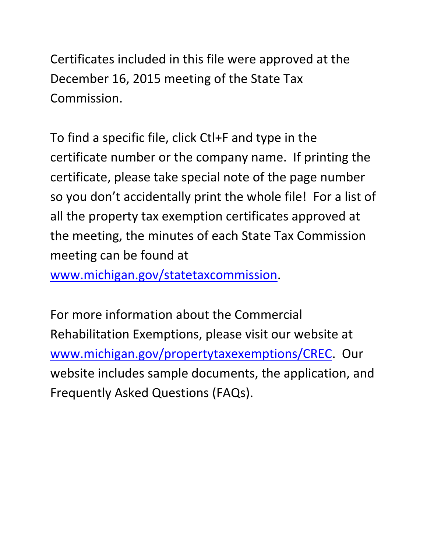Certificates included in this file were approved at the December 16, 2015 meeting of the State Tax Commission.

To find a specific file, click Ctl+F and type in the certificate number or the company name. If printing the certificate, please take special note of the page number so you don't accidentally print the whole file! For a list of all the property tax exemption certificates approved at the meeting, the minutes of each State Tax Commission meeting can be found at

www.michigan.gov/statetaxcommission.

For more information about the Commercial Rehabilitation Exemptions, please visit our website at www.michigan.gov/propertytaxexemptions/CREC. Our website includes sample documents, the application, and Frequently Asked Questions (FAQs).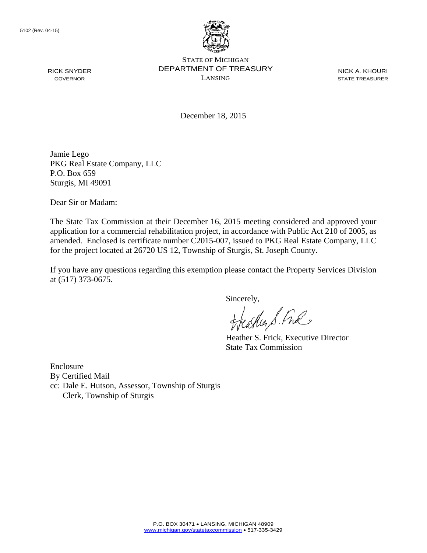

NICK A. KHOURI STATE TREASURER

December 18, 2015

Jamie Lego PKG Real Estate Company, LLC P.O. Box 659 Sturgis, MI 49091

Dear Sir or Madam:

The State Tax Commission at their December 16, 2015 meeting considered and approved your application for a commercial rehabilitation project, in accordance with Public Act 210 of 2005, as amended. Enclosed is certificate number C2015-007, issued to PKG Real Estate Company, LLC for the project located at 26720 US 12, Township of Sturgis, St. Joseph County.

If you have any questions regarding this exemption please contact the Property Services Division at (517) 373-0675.

Sincerely,

astler S. Ful

Heather S. Frick, Executive Director State Tax Commission

Enclosure By Certified Mail cc: Dale E. Hutson, Assessor, Township of Sturgis Clerk, Township of Sturgis

RICK SNYDER GOVERNOR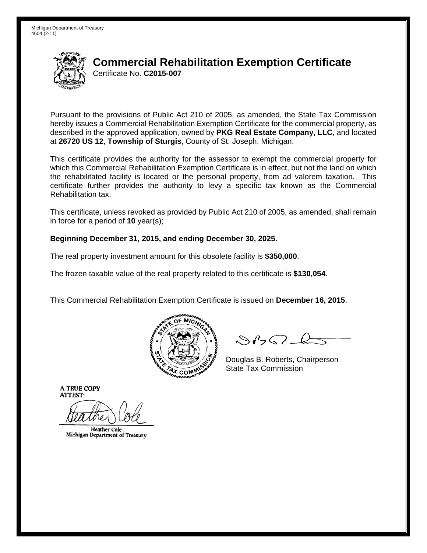

Pursuant to the provisions of Public Act 210 of 2005, as amended, the State Tax Commission hereby issues a Commercial Rehabilitation Exemption Certificate for the commercial property, as described in the approved application, owned by **PKG Real Estate Company, LLC**, and located at **26720 US 12**, **Township of Sturgis**, County of St. Joseph, Michigan.

This certificate provides the authority for the assessor to exempt the commercial property for which this Commercial Rehabilitation Exemption Certificate is in effect, but not the land on which the rehabilitated facility is located or the personal property, from ad valorem taxation. This certificate further provides the authority to levy a specific tax known as the Commercial Rehabilitation tax.

This certificate, unless revoked as provided by Public Act 210 of 2005, as amended, shall remain in force for a period of **10** year(s);

### **Beginning December 31, 2015, and ending December 30, 2025.**

The real property investment amount for this obsolete facility is **\$350,000**.

The frozen taxable value of the real property related to this certificate is **\$130,054**.

This Commercial Rehabilitation Exemption Certificate is issued on **December 16, 2015**.



 $8450 - 6$ 

Douglas B. Roberts, Chairperson  $\lambda_{\chi}$  COMMISS State Tax Commission

**Heather Cole** Michigan Department of Treasury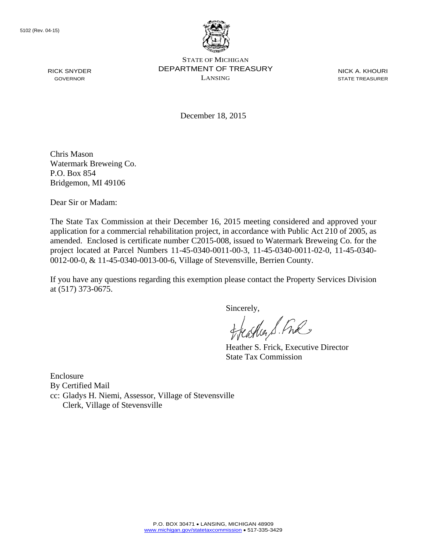

NICK A. KHOURI STATE TREASURER

December 18, 2015

Chris Mason Watermark Breweing Co. P.O. Box 854 Bridgemon, MI 49106

Dear Sir or Madam:

The State Tax Commission at their December 16, 2015 meeting considered and approved your application for a commercial rehabilitation project, in accordance with Public Act 210 of 2005, as amended. Enclosed is certificate number C2015-008, issued to Watermark Breweing Co. for the project located at Parcel Numbers 11-45-0340-0011-00-3, 11-45-0340-0011-02-0, 11-45-0340- 0012-00-0, & 11-45-0340-0013-00-6, Village of Stevensville, Berrien County.

If you have any questions regarding this exemption please contact the Property Services Division at (517) 373-0675.

sincerely,<br>Heather S. Ful

Heather S. Frick, Executive Director State Tax Commission

Enclosure By Certified Mail cc: Gladys H. Niemi, Assessor, Village of Stevensville Clerk, Village of Stevensville

RICK SNYDER GOVERNOR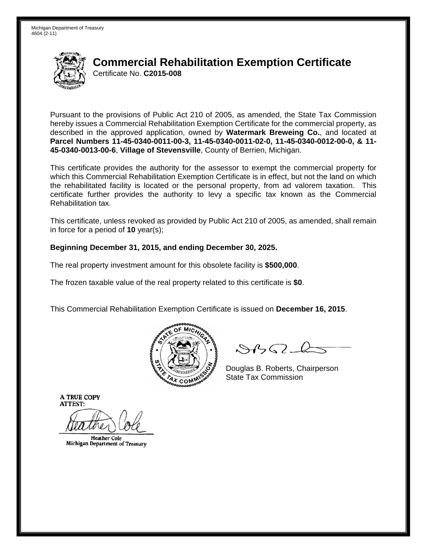

Pursuant to the provisions of Public Act 210 of 2005, as amended, the State Tax Commission hereby issues a Commercial Rehabilitation Exemption Certificate for the commercial property, as described in the approved application, owned by **Watermark Breweing Co.**, and located at **Parcel Numbers 11-45-0340-0011-00-3, 11-45-0340-0011-02-0, 11-45-0340-0012-00-0, & 11- 45-0340-0013-00-6**, **Village of Stevensville**, County of Berrien, Michigan.

This certificate provides the authority for the assessor to exempt the commercial property for which this Commercial Rehabilitation Exemption Certificate is in effect, but not the land on which the rehabilitated facility is located or the personal property, from ad valorem taxation. This certificate further provides the authority to levy a specific tax known as the Commercial Rehabilitation tax.

This certificate, unless revoked as provided by Public Act 210 of 2005, as amended, shall remain in force for a period of **10** year(s);

### **Beginning December 31, 2015, and ending December 30, 2025.**

The real property investment amount for this obsolete facility is **\$500,000**.

The frozen taxable value of the real property related to this certificate is **\$0**.

This Commercial Rehabilitation Exemption Certificate is issued on **December 16, 2015**.



 $\mathcal{S}$ BO-b

Douglas B. Roberts, Chairperson  $\frac{1}{2}$ State Tax Commission

**Heather Cole** Michigan Department of Treasury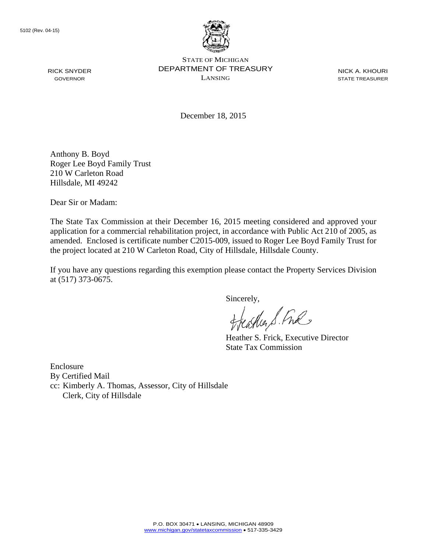

NICK A. KHOURI STATE TREASURER

December 18, 2015

Anthony B. Boyd Roger Lee Boyd Family Trust 210 W Carleton Road Hillsdale, MI 49242

Dear Sir or Madam:

The State Tax Commission at their December 16, 2015 meeting considered and approved your application for a commercial rehabilitation project, in accordance with Public Act 210 of 2005, as amended. Enclosed is certificate number C2015-009, issued to Roger Lee Boyd Family Trust for the project located at 210 W Carleton Road, City of Hillsdale, Hillsdale County.

If you have any questions regarding this exemption please contact the Property Services Division at (517) 373-0675.

Sincerely,

aglia S. Ful

Heather S. Frick, Executive Director State Tax Commission

Enclosure By Certified Mail cc: Kimberly A. Thomas, Assessor, City of Hillsdale Clerk, City of Hillsdale

RICK SNYDER GOVERNOR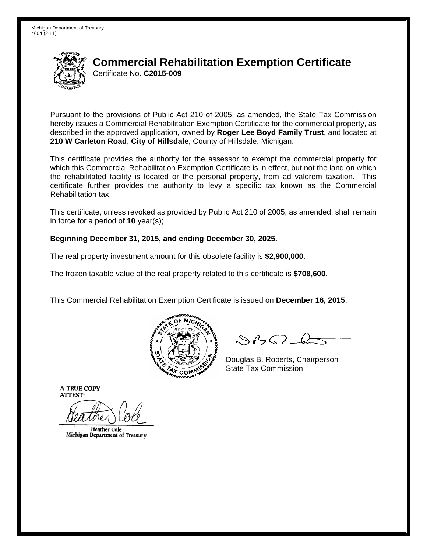

Pursuant to the provisions of Public Act 210 of 2005, as amended, the State Tax Commission hereby issues a Commercial Rehabilitation Exemption Certificate for the commercial property, as described in the approved application, owned by **Roger Lee Boyd Family Trust**, and located at **210 W Carleton Road**, **City of Hillsdale**, County of Hillsdale, Michigan.

This certificate provides the authority for the assessor to exempt the commercial property for which this Commercial Rehabilitation Exemption Certificate is in effect, but not the land on which the rehabilitated facility is located or the personal property, from ad valorem taxation. This certificate further provides the authority to levy a specific tax known as the Commercial Rehabilitation tax.

This certificate, unless revoked as provided by Public Act 210 of 2005, as amended, shall remain in force for a period of **10** year(s);

### **Beginning December 31, 2015, and ending December 30, 2025.**

The real property investment amount for this obsolete facility is **\$2,900,000**.

The frozen taxable value of the real property related to this certificate is **\$708,600**.

This Commercial Rehabilitation Exemption Certificate is issued on **December 16, 2015**.



 $8450 - 6$ 

Douglas B. Roberts, Chairperson  $\lambda_{\chi}$  COMMISS State Tax Commission

**Heather Cole** Michigan Department of Treasury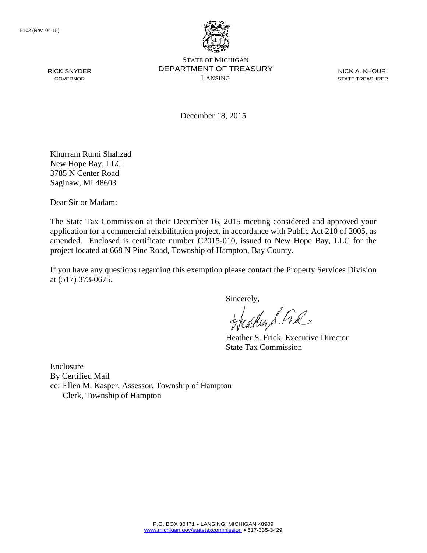

NICK A. KHOURI STATE TREASURER

December 18, 2015

Khurram Rumi Shahzad New Hope Bay, LLC 3785 N Center Road Saginaw, MI 48603

Dear Sir or Madam:

The State Tax Commission at their December 16, 2015 meeting considered and approved your application for a commercial rehabilitation project, in accordance with Public Act 210 of 2005, as amended. Enclosed is certificate number C2015-010, issued to New Hope Bay, LLC for the project located at 668 N Pine Road, Township of Hampton, Bay County.

If you have any questions regarding this exemption please contact the Property Services Division at (517) 373-0675.

Sincerely,

carlier S. Free

Heather S. Frick, Executive Director State Tax Commission

Enclosure By Certified Mail cc: Ellen M. Kasper, Assessor, Township of Hampton Clerk, Township of Hampton

RICK SNYDER GOVERNOR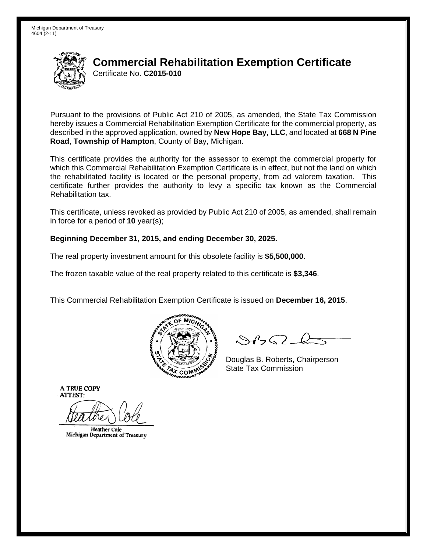

Pursuant to the provisions of Public Act 210 of 2005, as amended, the State Tax Commission hereby issues a Commercial Rehabilitation Exemption Certificate for the commercial property, as described in the approved application, owned by **New Hope Bay, LLC**, and located at **668 N Pine Road**, **Township of Hampton**, County of Bay, Michigan.

This certificate provides the authority for the assessor to exempt the commercial property for which this Commercial Rehabilitation Exemption Certificate is in effect, but not the land on which the rehabilitated facility is located or the personal property, from ad valorem taxation. This certificate further provides the authority to levy a specific tax known as the Commercial Rehabilitation tax.

This certificate, unless revoked as provided by Public Act 210 of 2005, as amended, shall remain in force for a period of **10** year(s);

### **Beginning December 31, 2015, and ending December 30, 2025.**

The real property investment amount for this obsolete facility is **\$5,500,000**.

The frozen taxable value of the real property related to this certificate is **\$3,346**.

This Commercial Rehabilitation Exemption Certificate is issued on **December 16, 2015**.



 $8450 - 6$ 

Douglas B. Roberts, Chairperson  $\lambda_{\chi}$  COMMISS State Tax Commission

**Heather Cole** Michigan Department of Treasury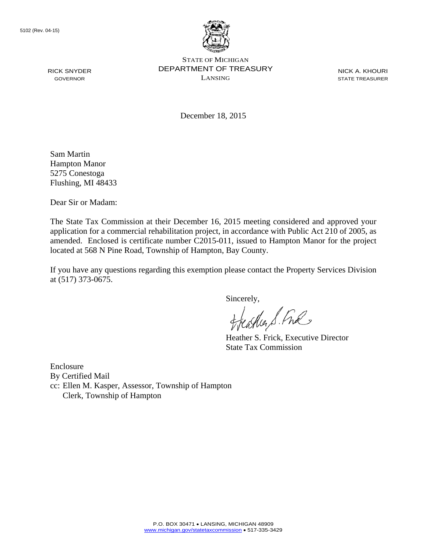

NICK A. KHOURI STATE TREASURER

December 18, 2015

Sam Martin Hampton Manor 5275 Conestoga Flushing, MI 48433

Dear Sir or Madam:

The State Tax Commission at their December 16, 2015 meeting considered and approved your application for a commercial rehabilitation project, in accordance with Public Act 210 of 2005, as amended. Enclosed is certificate number C2015-011, issued to Hampton Manor for the project located at 568 N Pine Road, Township of Hampton, Bay County.

If you have any questions regarding this exemption please contact the Property Services Division at (517) 373-0675.

Sincerely,

aglia S. Ful

Heather S. Frick, Executive Director State Tax Commission

Enclosure By Certified Mail cc: Ellen M. Kasper, Assessor, Township of Hampton Clerk, Township of Hampton

RICK SNYDER GOVERNOR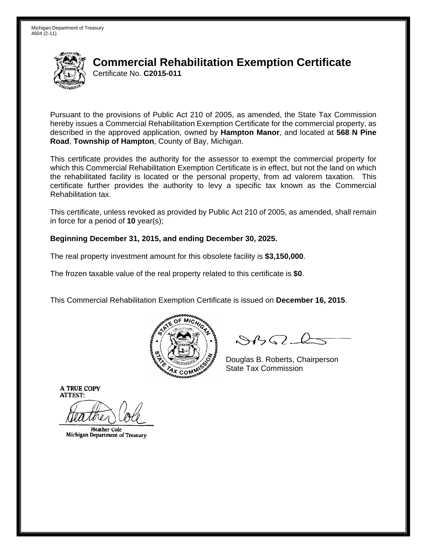

Pursuant to the provisions of Public Act 210 of 2005, as amended, the State Tax Commission hereby issues a Commercial Rehabilitation Exemption Certificate for the commercial property, as described in the approved application, owned by **Hampton Manor**, and located at **568 N Pine Road**, **Township of Hampton**, County of Bay, Michigan.

This certificate provides the authority for the assessor to exempt the commercial property for which this Commercial Rehabilitation Exemption Certificate is in effect, but not the land on which the rehabilitated facility is located or the personal property, from ad valorem taxation. This certificate further provides the authority to levy a specific tax known as the Commercial Rehabilitation tax.

This certificate, unless revoked as provided by Public Act 210 of 2005, as amended, shall remain in force for a period of **10** year(s);

### **Beginning December 31, 2015, and ending December 30, 2025.**

The real property investment amount for this obsolete facility is **\$3,150,000**.

The frozen taxable value of the real property related to this certificate is **\$0**.

This Commercial Rehabilitation Exemption Certificate is issued on **December 16, 2015**.



 $8450 - 6$ 

Douglas B. Roberts, Chairperson  $\lambda_{\chi}$  COMMISS State Tax Commission

**Heather Cole** Michigan Department of Treasury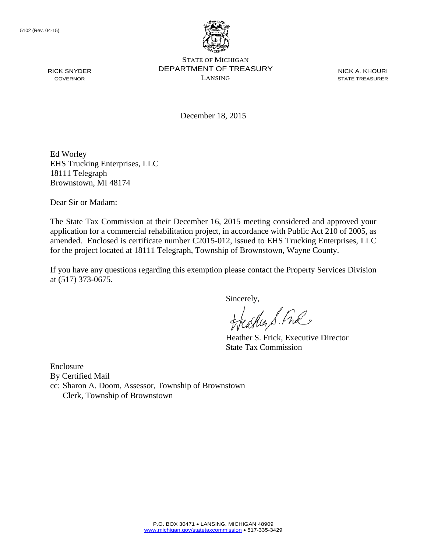

NICK A. KHOURI STATE TREASURER

December 18, 2015

Ed Worley EHS Trucking Enterprises, LLC 18111 Telegraph Brownstown, MI 48174

Dear Sir or Madam:

The State Tax Commission at their December 16, 2015 meeting considered and approved your application for a commercial rehabilitation project, in accordance with Public Act 210 of 2005, as amended. Enclosed is certificate number C2015-012, issued to EHS Trucking Enterprises, LLC for the project located at 18111 Telegraph, Township of Brownstown, Wayne County.

If you have any questions regarding this exemption please contact the Property Services Division at (517) 373-0675.

Sincerely,

aglia S. Ful

Heather S. Frick, Executive Director State Tax Commission

Enclosure By Certified Mail cc: Sharon A. Doom, Assessor, Township of Brownstown Clerk, Township of Brownstown

RICK SNYDER GOVERNOR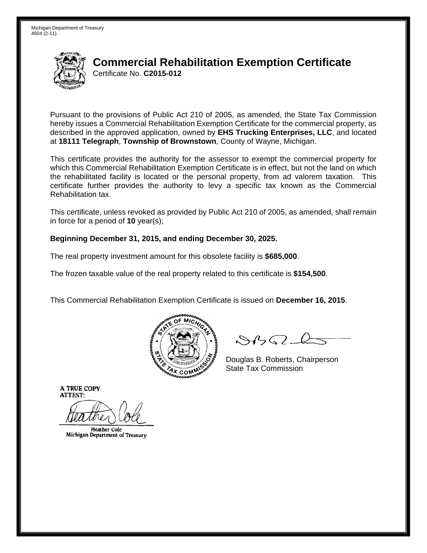

Pursuant to the provisions of Public Act 210 of 2005, as amended, the State Tax Commission hereby issues a Commercial Rehabilitation Exemption Certificate for the commercial property, as described in the approved application, owned by **EHS Trucking Enterprises, LLC**, and located at **18111 Telegraph**, **Township of Brownstown**, County of Wayne, Michigan.

This certificate provides the authority for the assessor to exempt the commercial property for which this Commercial Rehabilitation Exemption Certificate is in effect, but not the land on which the rehabilitated facility is located or the personal property, from ad valorem taxation. This certificate further provides the authority to levy a specific tax known as the Commercial Rehabilitation tax.

This certificate, unless revoked as provided by Public Act 210 of 2005, as amended, shall remain in force for a period of **10** year(s);

### **Beginning December 31, 2015, and ending December 30, 2025.**

The real property investment amount for this obsolete facility is **\$685,000**.

The frozen taxable value of the real property related to this certificate is **\$154,500**.

This Commercial Rehabilitation Exemption Certificate is issued on **December 16, 2015**.



 $8450 - 6$ 

Douglas B. Roberts, Chairperson  $\lambda_{\chi}$  COMMISS State Tax Commission

**Heather Cole** Michigan Department of Treasury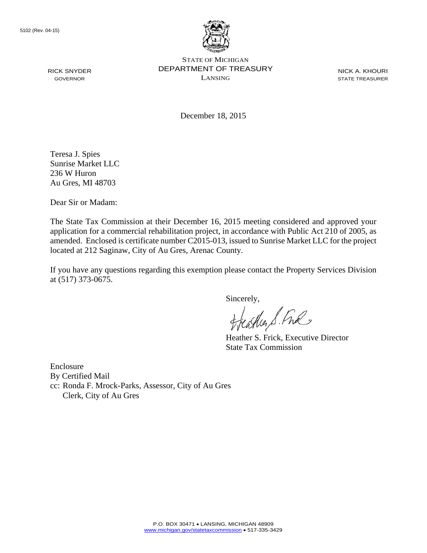

NICK A. KHOURI STATE TREASURER

December 18, 2015

Teresa J. Spies Sunrise Market LLC 236 W Huron Au Gres, MI 48703

RICK SNYDER GOVERNOR

Dear Sir or Madam:

The State Tax Commission at their December 16, 2015 meeting considered and approved your application for a commercial rehabilitation project, in accordance with Public Act 210 of 2005, as amended. Enclosed is certificate number C2015-013, issued to Sunrise Market LLC for the project located at 212 Saginaw, City of Au Gres, Arenac County.

If you have any questions regarding this exemption please contact the Property Services Division at (517) 373-0675.

Sincerely,

aglia S. Ful

Heather S. Frick, Executive Director State Tax Commission

Enclosure By Certified Mail cc: Ronda F. Mrock-Parks, Assessor, City of Au Gres Clerk, City of Au Gres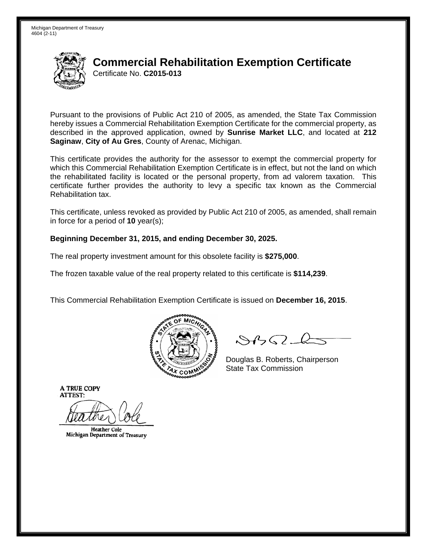

Pursuant to the provisions of Public Act 210 of 2005, as amended, the State Tax Commission hereby issues a Commercial Rehabilitation Exemption Certificate for the commercial property, as described in the approved application, owned by **Sunrise Market LLC**, and located at **212 Saginaw**, **City of Au Gres**, County of Arenac, Michigan.

This certificate provides the authority for the assessor to exempt the commercial property for which this Commercial Rehabilitation Exemption Certificate is in effect, but not the land on which the rehabilitated facility is located or the personal property, from ad valorem taxation. This certificate further provides the authority to levy a specific tax known as the Commercial Rehabilitation tax.

This certificate, unless revoked as provided by Public Act 210 of 2005, as amended, shall remain in force for a period of **10** year(s);

### **Beginning December 31, 2015, and ending December 30, 2025.**

The real property investment amount for this obsolete facility is **\$275,000**.

The frozen taxable value of the real property related to this certificate is **\$114,239**.

This Commercial Rehabilitation Exemption Certificate is issued on **December 16, 2015**.



 $8450 - 6$ 

Douglas B. Roberts, Chairperson  $\lambda_{\chi}$  COMMISS State Tax Commission

**Heather Cole** Michigan Department of Treasury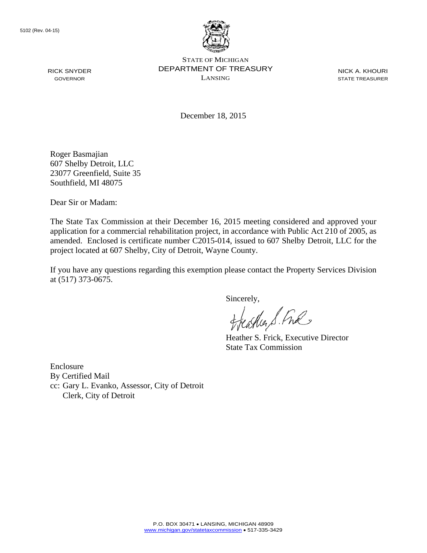

STATE OF MICHIGAN DEPARTMENT OF TREASURY LANSING

NICK A. KHOURI STATE TREASURER

December 18, 2015

Roger Basmajian 607 Shelby Detroit, LLC 23077 Greenfield, Suite 35 Southfield, MI 48075

Dear Sir or Madam:

The State Tax Commission at their December 16, 2015 meeting considered and approved your application for a commercial rehabilitation project, in accordance with Public Act 210 of 2005, as amended. Enclosed is certificate number C2015-014, issued to 607 Shelby Detroit, LLC for the project located at 607 Shelby, City of Detroit, Wayne County.

If you have any questions regarding this exemption please contact the Property Services Division at (517) 373-0675.

Sincerely,

aglia S. Ful

Heather S. Frick, Executive Director State Tax Commission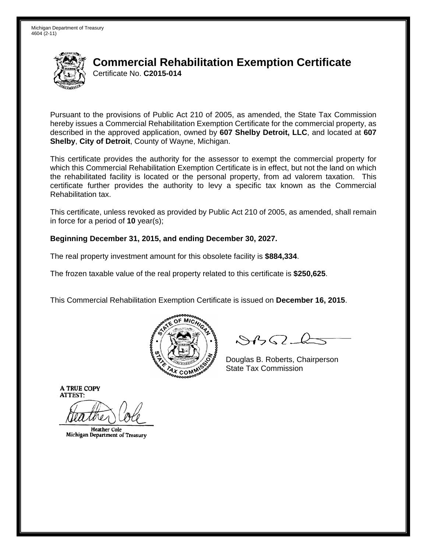

Pursuant to the provisions of Public Act 210 of 2005, as amended, the State Tax Commission hereby issues a Commercial Rehabilitation Exemption Certificate for the commercial property, as described in the approved application, owned by **607 Shelby Detroit, LLC**, and located at **607 Shelby**, **City of Detroit**, County of Wayne, Michigan.

This certificate provides the authority for the assessor to exempt the commercial property for which this Commercial Rehabilitation Exemption Certificate is in effect, but not the land on which the rehabilitated facility is located or the personal property, from ad valorem taxation. This certificate further provides the authority to levy a specific tax known as the Commercial Rehabilitation tax.

This certificate, unless revoked as provided by Public Act 210 of 2005, as amended, shall remain in force for a period of **10** year(s);

### **Beginning December 31, 2015, and ending December 30, 2027.**

The real property investment amount for this obsolete facility is **\$884,334**.

The frozen taxable value of the real property related to this certificate is **\$250,625**.

This Commercial Rehabilitation Exemption Certificate is issued on **December 16, 2015**.



 $8450 - 6$ 

Douglas B. Roberts, Chairperson  $\lambda_{\chi}$  COMMISS State Tax Commission

**Heather Cole** Michigan Department of Treasury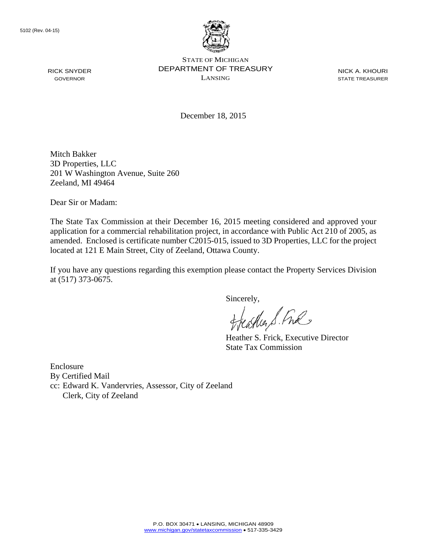

STATE OF MICHIGAN DEPARTMENT OF TREASURY LANSING

NICK A. KHOURI STATE TREASURER

December 18, 2015

Mitch Bakker 3D Properties, LLC 201 W Washington Avenue, Suite 260 Zeeland, MI 49464

Dear Sir or Madam:

The State Tax Commission at their December 16, 2015 meeting considered and approved your application for a commercial rehabilitation project, in accordance with Public Act 210 of 2005, as amended. Enclosed is certificate number C2015-015, issued to 3D Properties, LLC for the project located at 121 E Main Street, City of Zeeland, Ottawa County.

If you have any questions regarding this exemption please contact the Property Services Division at (517) 373-0675.

Sincerely,

aglia S. Ful

Heather S. Frick, Executive Director State Tax Commission

Enclosure By Certified Mail cc: Edward K. Vandervries, Assessor, City of Zeeland Clerk, City of Zeeland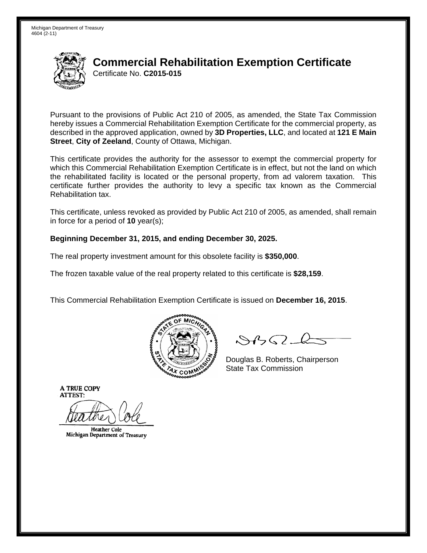

Pursuant to the provisions of Public Act 210 of 2005, as amended, the State Tax Commission hereby issues a Commercial Rehabilitation Exemption Certificate for the commercial property, as described in the approved application, owned by **3D Properties, LLC**, and located at **121 E Main Street**, **City of Zeeland**, County of Ottawa, Michigan.

This certificate provides the authority for the assessor to exempt the commercial property for which this Commercial Rehabilitation Exemption Certificate is in effect, but not the land on which the rehabilitated facility is located or the personal property, from ad valorem taxation. This certificate further provides the authority to levy a specific tax known as the Commercial Rehabilitation tax.

This certificate, unless revoked as provided by Public Act 210 of 2005, as amended, shall remain in force for a period of **10** year(s);

### **Beginning December 31, 2015, and ending December 30, 2025.**

The real property investment amount for this obsolete facility is **\$350,000**.

The frozen taxable value of the real property related to this certificate is **\$28,159**.

This Commercial Rehabilitation Exemption Certificate is issued on **December 16, 2015**.



 $8450 - 6$ 

Douglas B. Roberts, Chairperson  $\lambda_{\chi}$  COMMISS State Tax Commission

**Heather Cole** Michigan Department of Treasury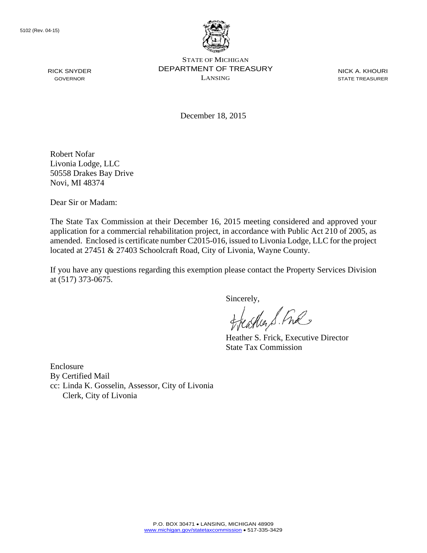

NICK A. KHOURI STATE TREASURER

December 18, 2015

Robert Nofar Livonia Lodge, LLC 50558 Drakes Bay Drive Novi, MI 48374

Dear Sir or Madam:

The State Tax Commission at their December 16, 2015 meeting considered and approved your application for a commercial rehabilitation project, in accordance with Public Act 210 of 2005, as amended. Enclosed is certificate number C2015-016, issued to Livonia Lodge, LLC for the project located at 27451 & 27403 Schoolcraft Road, City of Livonia, Wayne County.

If you have any questions regarding this exemption please contact the Property Services Division at (517) 373-0675.

Sincerely,

aglia S. Ful

Heather S. Frick, Executive Director State Tax Commission

Enclosure By Certified Mail cc: Linda K. Gosselin, Assessor, City of Livonia Clerk, City of Livonia

RICK SNYDER GOVERNOR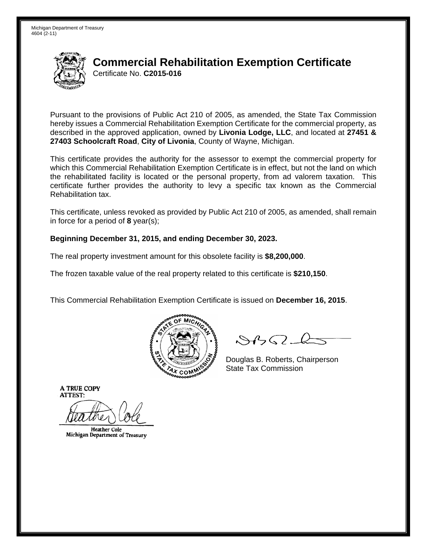

Pursuant to the provisions of Public Act 210 of 2005, as amended, the State Tax Commission hereby issues a Commercial Rehabilitation Exemption Certificate for the commercial property, as described in the approved application, owned by **Livonia Lodge, LLC**, and located at **27451 & 27403 Schoolcraft Road**, **City of Livonia**, County of Wayne, Michigan.

This certificate provides the authority for the assessor to exempt the commercial property for which this Commercial Rehabilitation Exemption Certificate is in effect, but not the land on which the rehabilitated facility is located or the personal property, from ad valorem taxation. This certificate further provides the authority to levy a specific tax known as the Commercial Rehabilitation tax.

This certificate, unless revoked as provided by Public Act 210 of 2005, as amended, shall remain in force for a period of **8** year(s);

### **Beginning December 31, 2015, and ending December 30, 2023.**

The real property investment amount for this obsolete facility is **\$8,200,000**.

The frozen taxable value of the real property related to this certificate is **\$210,150**.

This Commercial Rehabilitation Exemption Certificate is issued on **December 16, 2015**.



 $8450 - 6$ 

Douglas B. Roberts, Chairperson  $\lambda_{\chi}$  COMMISS State Tax Commission

**Heather Cole** Michigan Department of Treasury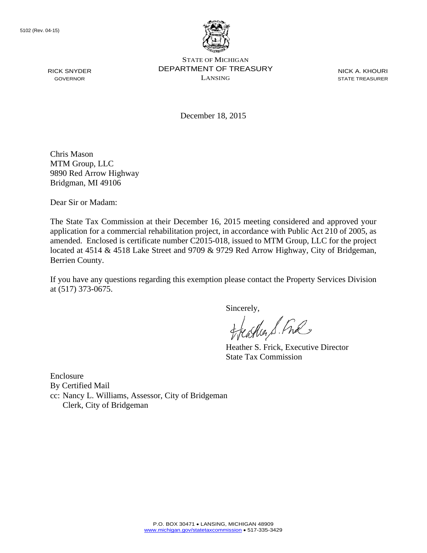

NICK A. KHOURI STATE TREASURER

December 18, 2015

Chris Mason MTM Group, LLC 9890 Red Arrow Highway Bridgman, MI 49106

Dear Sir or Madam:

The State Tax Commission at their December 16, 2015 meeting considered and approved your application for a commercial rehabilitation project, in accordance with Public Act 210 of 2005, as amended. Enclosed is certificate number C2015-018, issued to MTM Group, LLC for the project located at 4514 & 4518 Lake Street and 9709 & 9729 Red Arrow Highway, City of Bridgeman, Berrien County.

If you have any questions regarding this exemption please contact the Property Services Division at (517) 373-0675.

sincerely,<br>Heather S. Ful

Heather S. Frick, Executive Director State Tax Commission

Enclosure By Certified Mail cc: Nancy L. Williams, Assessor, City of Bridgeman Clerk, City of Bridgeman

RICK SNYDER GOVERNOR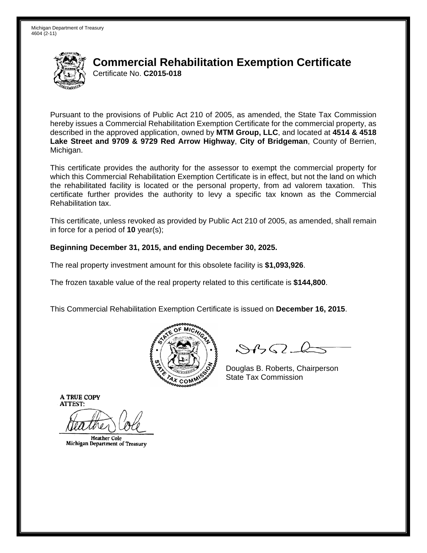

Pursuant to the provisions of Public Act 210 of 2005, as amended, the State Tax Commission hereby issues a Commercial Rehabilitation Exemption Certificate for the commercial property, as described in the approved application, owned by **MTM Group, LLC**, and located at **4514 & 4518 Lake Street and 9709 & 9729 Red Arrow Highway**, **City of Bridgeman**, County of Berrien, Michigan.

This certificate provides the authority for the assessor to exempt the commercial property for which this Commercial Rehabilitation Exemption Certificate is in effect, but not the land on which the rehabilitated facility is located or the personal property, from ad valorem taxation. This certificate further provides the authority to levy a specific tax known as the Commercial Rehabilitation tax.

This certificate, unless revoked as provided by Public Act 210 of 2005, as amended, shall remain in force for a period of **10** year(s);

### **Beginning December 31, 2015, and ending December 30, 2025.**

The real property investment amount for this obsolete facility is **\$1,093,926**.

The frozen taxable value of the real property related to this certificate is **\$144,800**.

This Commercial Rehabilitation Exemption Certificate is issued on **December 16, 2015**.



 $\mathcal{S}$ BO-l

Douglas B. Roberts, Chairperson  $\frac{1}{2}$ State Tax Commission

**Heather Cole** Michigan Department of Treasury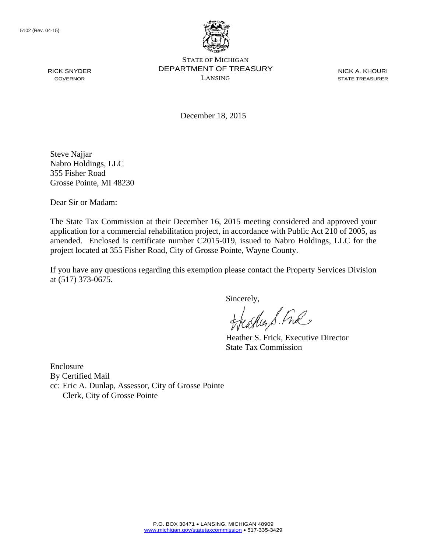

STATE OF MICHIGAN DEPARTMENT OF TREASURY LANSING

NICK A. KHOURI STATE TREASURER

December 18, 2015

Steve Najjar Nabro Holdings, LLC 355 Fisher Road Grosse Pointe, MI 48230

Dear Sir or Madam:

The State Tax Commission at their December 16, 2015 meeting considered and approved your application for a commercial rehabilitation project, in accordance with Public Act 210 of 2005, as amended. Enclosed is certificate number C2015-019, issued to Nabro Holdings, LLC for the project located at 355 Fisher Road, City of Grosse Pointe, Wayne County.

If you have any questions regarding this exemption please contact the Property Services Division at (517) 373-0675.

Sincerely,

aglia S. Ful

Heather S. Frick, Executive Director State Tax Commission

Enclosure By Certified Mail cc: Eric A. Dunlap, Assessor, City of Grosse Pointe Clerk, City of Grosse Pointe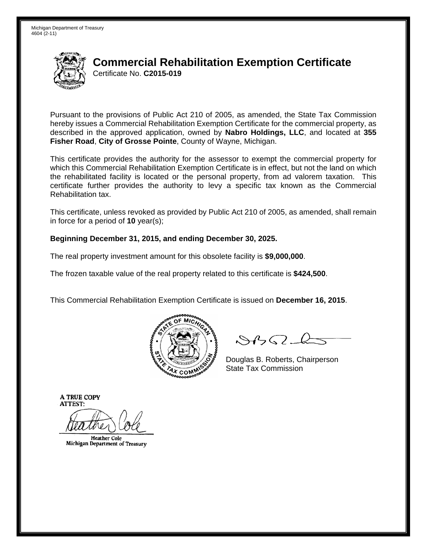

Pursuant to the provisions of Public Act 210 of 2005, as amended, the State Tax Commission hereby issues a Commercial Rehabilitation Exemption Certificate for the commercial property, as described in the approved application, owned by **Nabro Holdings, LLC**, and located at **355 Fisher Road**, **City of Grosse Pointe**, County of Wayne, Michigan.

This certificate provides the authority for the assessor to exempt the commercial property for which this Commercial Rehabilitation Exemption Certificate is in effect, but not the land on which the rehabilitated facility is located or the personal property, from ad valorem taxation. This certificate further provides the authority to levy a specific tax known as the Commercial Rehabilitation tax.

This certificate, unless revoked as provided by Public Act 210 of 2005, as amended, shall remain in force for a period of **10** year(s);

### **Beginning December 31, 2015, and ending December 30, 2025.**

The real property investment amount for this obsolete facility is **\$9,000,000**.

The frozen taxable value of the real property related to this certificate is **\$424,500**.

This Commercial Rehabilitation Exemption Certificate is issued on **December 16, 2015**.



 $8450 - 6$ 

Douglas B. Roberts, Chairperson  $\lambda_X$ <sub>COM</sub> $\frac{S^2}{2}$  State Tax Commission

**Heather Cole** Michigan Department of Treasury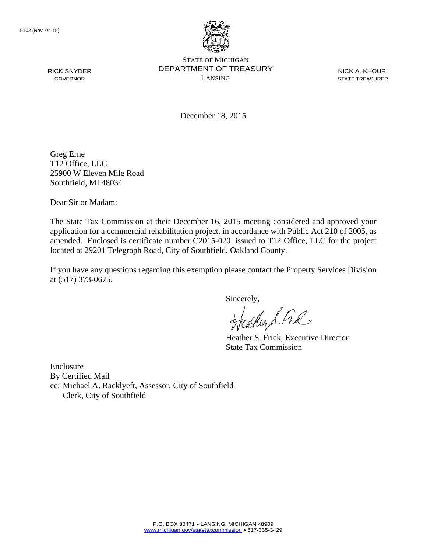

NICK A. KHOURI STATE TREASURER

December 18, 2015

Greg Erne T12 Office, LLC 25900 W Eleven Mile Road Southfield, MI 48034

Dear Sir or Madam:

The State Tax Commission at their December 16, 2015 meeting considered and approved your application for a commercial rehabilitation project, in accordance with Public Act 210 of 2005, as amended. Enclosed is certificate number C2015-020, issued to T12 Office, LLC for the project located at 29201 Telegraph Road, City of Southfield, Oakland County.

If you have any questions regarding this exemption please contact the Property Services Division at (517) 373-0675.

Sincerely,

aglia S. Ful

Heather S. Frick, Executive Director State Tax Commission

Enclosure By Certified Mail cc: Michael A. Racklyeft, Assessor, City of Southfield Clerk, City of Southfield

RICK SNYDER GOVERNOR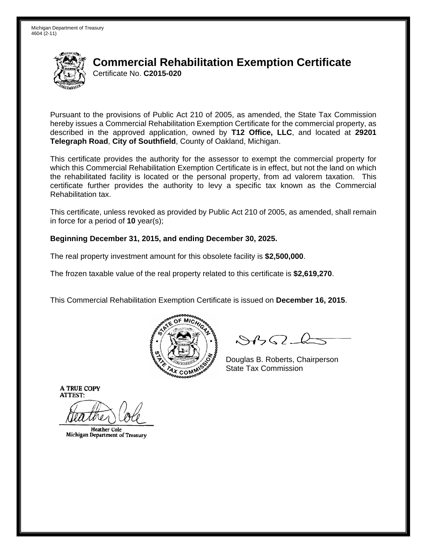

Pursuant to the provisions of Public Act 210 of 2005, as amended, the State Tax Commission hereby issues a Commercial Rehabilitation Exemption Certificate for the commercial property, as described in the approved application, owned by **T12 Office, LLC**, and located at **29201 Telegraph Road**, **City of Southfield**, County of Oakland, Michigan.

This certificate provides the authority for the assessor to exempt the commercial property for which this Commercial Rehabilitation Exemption Certificate is in effect, but not the land on which the rehabilitated facility is located or the personal property, from ad valorem taxation. This certificate further provides the authority to levy a specific tax known as the Commercial Rehabilitation tax.

This certificate, unless revoked as provided by Public Act 210 of 2005, as amended, shall remain in force for a period of **10** year(s);

### **Beginning December 31, 2015, and ending December 30, 2025.**

The real property investment amount for this obsolete facility is **\$2,500,000**.

The frozen taxable value of the real property related to this certificate is **\$2,619,270**.

This Commercial Rehabilitation Exemption Certificate is issued on **December 16, 2015**.



 $8450 - 6$ 

Douglas B. Roberts, Chairperson  $\lambda_{\chi}$  COMMISS State Tax Commission

**Heather Cole** Michigan Department of Treasury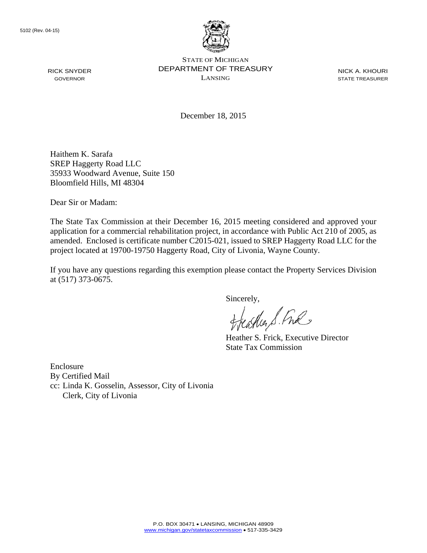

NICK A. KHOURI STATE TREASURER

December 18, 2015

Haithem K. Sarafa SREP Haggerty Road LLC 35933 Woodward Avenue, Suite 150 Bloomfield Hills, MI 48304

Dear Sir or Madam:

The State Tax Commission at their December 16, 2015 meeting considered and approved your application for a commercial rehabilitation project, in accordance with Public Act 210 of 2005, as amended. Enclosed is certificate number C2015-021, issued to SREP Haggerty Road LLC for the project located at 19700-19750 Haggerty Road, City of Livonia, Wayne County.

If you have any questions regarding this exemption please contact the Property Services Division at (517) 373-0675.

Sincerely,

aglia S. Ful

Heather S. Frick, Executive Director State Tax Commission

Enclosure By Certified Mail cc: Linda K. Gosselin, Assessor, City of Livonia Clerk, City of Livonia

RICK SNYDER GOVERNOR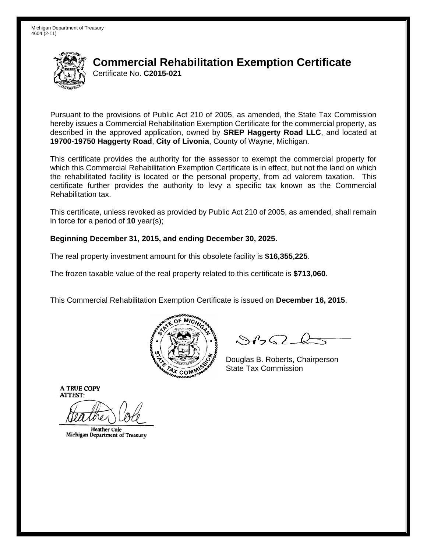

Pursuant to the provisions of Public Act 210 of 2005, as amended, the State Tax Commission hereby issues a Commercial Rehabilitation Exemption Certificate for the commercial property, as described in the approved application, owned by **SREP Haggerty Road LLC**, and located at **19700-19750 Haggerty Road**, **City of Livonia**, County of Wayne, Michigan.

This certificate provides the authority for the assessor to exempt the commercial property for which this Commercial Rehabilitation Exemption Certificate is in effect, but not the land on which the rehabilitated facility is located or the personal property, from ad valorem taxation. This certificate further provides the authority to levy a specific tax known as the Commercial Rehabilitation tax.

This certificate, unless revoked as provided by Public Act 210 of 2005, as amended, shall remain in force for a period of **10** year(s);

### **Beginning December 31, 2015, and ending December 30, 2025.**

The real property investment amount for this obsolete facility is **\$16,355,225**.

The frozen taxable value of the real property related to this certificate is **\$713,060**.

This Commercial Rehabilitation Exemption Certificate is issued on **December 16, 2015**.



 $8450 - 6$ 

Douglas B. Roberts, Chairperson  $\lambda_{\chi}$  COMMISS State Tax Commission

**Heather Cole** Michigan Department of Treasury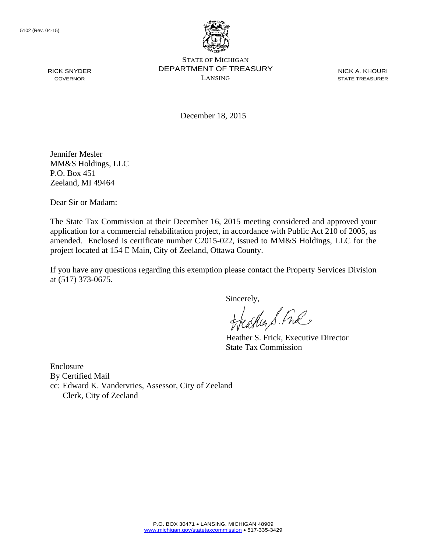

STATE OF MICHIGAN DEPARTMENT OF TREASURY LANSING

NICK A. KHOURI STATE TREASURER

December 18, 2015

Jennifer Mesler MM&S Holdings, LLC P.O. Box 451 Zeeland, MI 49464

Dear Sir or Madam:

The State Tax Commission at their December 16, 2015 meeting considered and approved your application for a commercial rehabilitation project, in accordance with Public Act 210 of 2005, as amended. Enclosed is certificate number C2015-022, issued to MM&S Holdings, LLC for the project located at 154 E Main, City of Zeeland, Ottawa County.

If you have any questions regarding this exemption please contact the Property Services Division at (517) 373-0675.

Sincerely,

aglia S. Ful

Heather S. Frick, Executive Director State Tax Commission

Enclosure By Certified Mail cc: Edward K. Vandervries, Assessor, City of Zeeland Clerk, City of Zeeland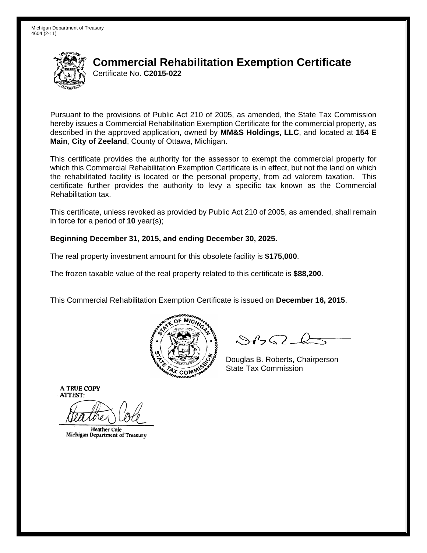

Pursuant to the provisions of Public Act 210 of 2005, as amended, the State Tax Commission hereby issues a Commercial Rehabilitation Exemption Certificate for the commercial property, as described in the approved application, owned by **MM&S Holdings, LLC**, and located at **154 E Main**, **City of Zeeland**, County of Ottawa, Michigan.

This certificate provides the authority for the assessor to exempt the commercial property for which this Commercial Rehabilitation Exemption Certificate is in effect, but not the land on which the rehabilitated facility is located or the personal property, from ad valorem taxation. This certificate further provides the authority to levy a specific tax known as the Commercial Rehabilitation tax.

This certificate, unless revoked as provided by Public Act 210 of 2005, as amended, shall remain in force for a period of **10** year(s);

### **Beginning December 31, 2015, and ending December 30, 2025.**

The real property investment amount for this obsolete facility is **\$175,000**.

The frozen taxable value of the real property related to this certificate is **\$88,200**.

This Commercial Rehabilitation Exemption Certificate is issued on **December 16, 2015**.



 $8450 - 6$ 

Douglas B. Roberts, Chairperson  $\lambda_{\chi}$  COMMISS State Tax Commission

**Heather Cole** Michigan Department of Treasury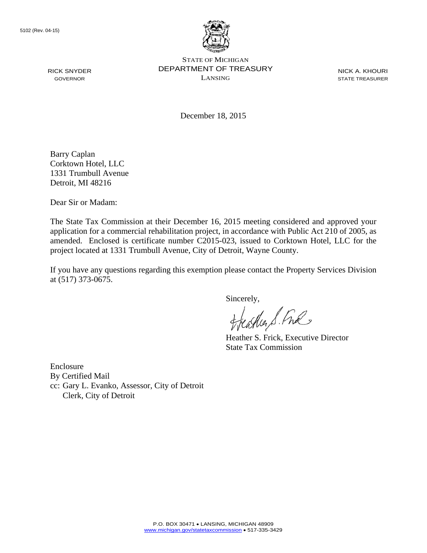

STATE OF MICHIGAN DEPARTMENT OF TREASURY LANSING

NICK A. KHOURI STATE TREASURER

December 18, 2015

Barry Caplan Corktown Hotel, LLC 1331 Trumbull Avenue Detroit, MI 48216

Dear Sir or Madam:

The State Tax Commission at their December 16, 2015 meeting considered and approved your application for a commercial rehabilitation project, in accordance with Public Act 210 of 2005, as amended. Enclosed is certificate number C2015-023, issued to Corktown Hotel, LLC for the project located at 1331 Trumbull Avenue, City of Detroit, Wayne County.

If you have any questions regarding this exemption please contact the Property Services Division at (517) 373-0675.

Sincerely,

carlier S. Free

Heather S. Frick, Executive Director State Tax Commission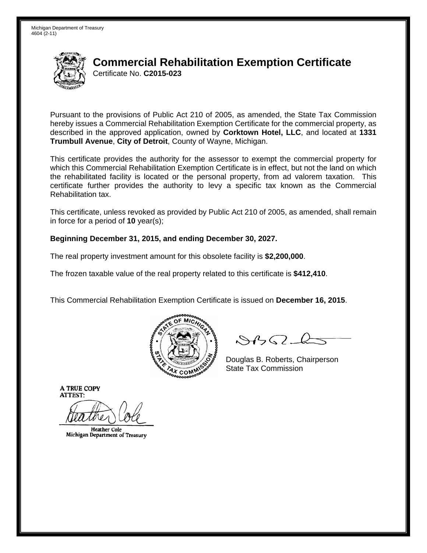

Pursuant to the provisions of Public Act 210 of 2005, as amended, the State Tax Commission hereby issues a Commercial Rehabilitation Exemption Certificate for the commercial property, as described in the approved application, owned by **Corktown Hotel, LLC**, and located at **1331 Trumbull Avenue**, **City of Detroit**, County of Wayne, Michigan.

This certificate provides the authority for the assessor to exempt the commercial property for which this Commercial Rehabilitation Exemption Certificate is in effect, but not the land on which the rehabilitated facility is located or the personal property, from ad valorem taxation. This certificate further provides the authority to levy a specific tax known as the Commercial Rehabilitation tax.

This certificate, unless revoked as provided by Public Act 210 of 2005, as amended, shall remain in force for a period of **10** year(s);

### **Beginning December 31, 2015, and ending December 30, 2027.**

The real property investment amount for this obsolete facility is **\$2,200,000**.

The frozen taxable value of the real property related to this certificate is **\$412,410**.

This Commercial Rehabilitation Exemption Certificate is issued on **December 16, 2015**.



 $8450 - 6$ 

Douglas B. Roberts, Chairperson  $\lambda_{\chi}$  COMMISS State Tax Commission

**Heather Cole** Michigan Department of Treasury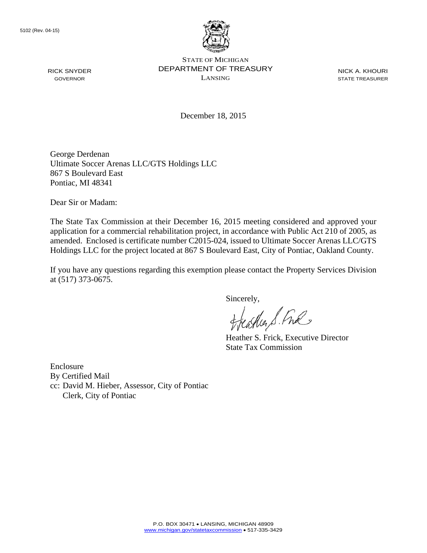

STATE OF MICHIGAN DEPARTMENT OF TREASURY LANSING

NICK A. KHOURI STATE TREASURER

December 18, 2015

George Derdenan Ultimate Soccer Arenas LLC/GTS Holdings LLC 867 S Boulevard East Pontiac, MI 48341

Dear Sir or Madam:

The State Tax Commission at their December 16, 2015 meeting considered and approved your application for a commercial rehabilitation project, in accordance with Public Act 210 of 2005, as amended. Enclosed is certificate number C2015-024, issued to Ultimate Soccer Arenas LLC/GTS Holdings LLC for the project located at 867 S Boulevard East, City of Pontiac, Oakland County.

If you have any questions regarding this exemption please contact the Property Services Division at (517) 373-0675.

Sincerely,

aglia S. Ful

Heather S. Frick, Executive Director State Tax Commission

Enclosure By Certified Mail cc: David M. Hieber, Assessor, City of Pontiac Clerk, City of Pontiac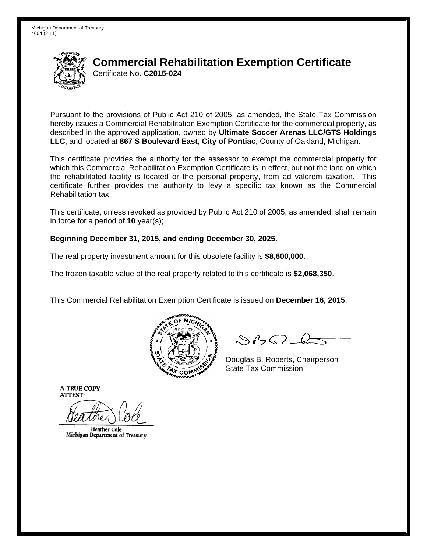

Pursuant to the provisions of Public Act 210 of 2005, as amended, the State Tax Commission hereby issues a Commercial Rehabilitation Exemption Certificate for the commercial property, as described in the approved application, owned by **Ultimate Soccer Arenas LLC/GTS Holdings LLC**, and located at **867 S Boulevard East**, **City of Pontiac**, County of Oakland, Michigan.

This certificate provides the authority for the assessor to exempt the commercial property for which this Commercial Rehabilitation Exemption Certificate is in effect, but not the land on which the rehabilitated facility is located or the personal property, from ad valorem taxation. This certificate further provides the authority to levy a specific tax known as the Commercial Rehabilitation tax.

This certificate, unless revoked as provided by Public Act 210 of 2005, as amended, shall remain in force for a period of **10** year(s);

### **Beginning December 31, 2015, and ending December 30, 2025.**

The real property investment amount for this obsolete facility is **\$8,600,000**.

The frozen taxable value of the real property related to this certificate is **\$2,068,350**.

This Commercial Rehabilitation Exemption Certificate is issued on **December 16, 2015**.



 $8450 - 6$ 

Douglas B. Roberts, Chairperson  $\lambda_{\chi}$  COMMISS State Tax Commission

**Heather Cole** Michigan Department of Treasury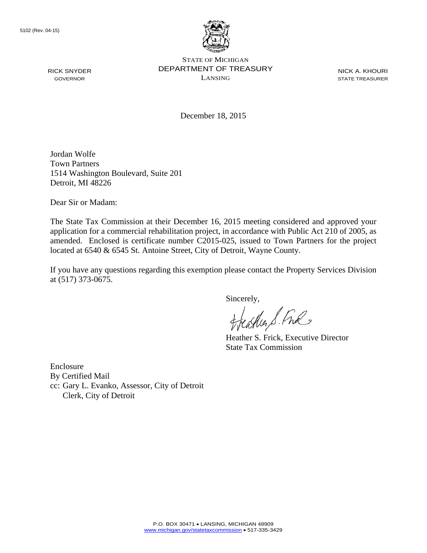

NICK A. KHOURI STATE TREASURER

December 18, 2015

Jordan Wolfe Town Partners 1514 Washington Boulevard, Suite 201 Detroit, MI 48226

Dear Sir or Madam:

The State Tax Commission at their December 16, 2015 meeting considered and approved your application for a commercial rehabilitation project, in accordance with Public Act 210 of 2005, as amended. Enclosed is certificate number C2015-025, issued to Town Partners for the project located at 6540 & 6545 St. Antoine Street, City of Detroit, Wayne County.

If you have any questions regarding this exemption please contact the Property Services Division at (517) 373-0675.

Sincerely,

aglia S. Ful

Heather S. Frick, Executive Director State Tax Commission

Enclosure By Certified Mail cc: Gary L. Evanko, Assessor, City of Detroit Clerk, City of Detroit

RICK SNYDER GOVERNOR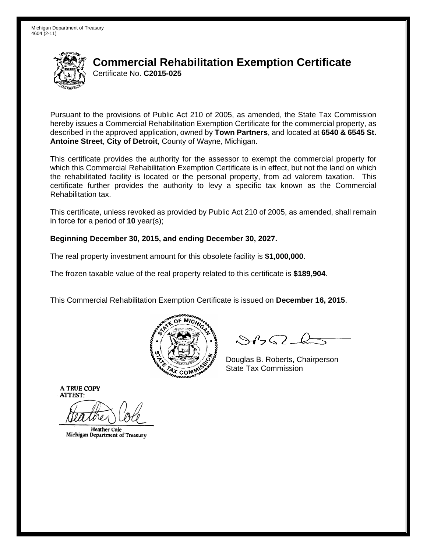

Pursuant to the provisions of Public Act 210 of 2005, as amended, the State Tax Commission hereby issues a Commercial Rehabilitation Exemption Certificate for the commercial property, as described in the approved application, owned by **Town Partners**, and located at **6540 & 6545 St. Antoine Street**, **City of Detroit**, County of Wayne, Michigan.

This certificate provides the authority for the assessor to exempt the commercial property for which this Commercial Rehabilitation Exemption Certificate is in effect, but not the land on which the rehabilitated facility is located or the personal property, from ad valorem taxation. This certificate further provides the authority to levy a specific tax known as the Commercial Rehabilitation tax.

This certificate, unless revoked as provided by Public Act 210 of 2005, as amended, shall remain in force for a period of **10** year(s);

### **Beginning December 30, 2015, and ending December 30, 2027.**

The real property investment amount for this obsolete facility is **\$1,000,000**.

The frozen taxable value of the real property related to this certificate is **\$189,904**.

This Commercial Rehabilitation Exemption Certificate is issued on **December 16, 2015**.



 $8450 - 6$ 

Douglas B. Roberts, Chairperson  $\lambda_{\chi}$  COMMISS State Tax Commission

**Heather Cole** Michigan Department of Treasury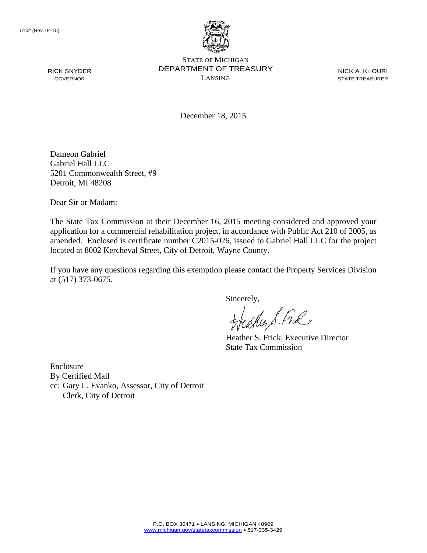

STATE OF MICHIGAN DEPARTMENT OF TREASURY LANSING

NICK A. KHOURI STATE TREASURER

December 18, 2015

Dameon Gabriel Gabriel Hall LLC 5201 Commonwealth Street, #9 Detroit, MI 48208

Dear Sir or Madam:

The State Tax Commission at their December 16, 2015 meeting considered and approved your application for a commercial rehabilitation project, in accordance with Public Act 210 of 2005, as amended. Enclosed is certificate number C2015-026, issued to Gabriel Hall LLC for the project located at 8002 Kercheval Street, City of Detroit, Wayne County.

If you have any questions regarding this exemption please contact the Property Services Division at (517) 373-0675.

Sincerely,

carlier S. Free

Heather S. Frick, Executive Director State Tax Commission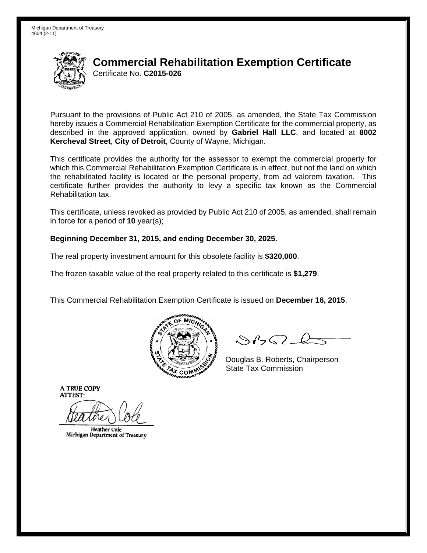

Pursuant to the provisions of Public Act 210 of 2005, as amended, the State Tax Commission hereby issues a Commercial Rehabilitation Exemption Certificate for the commercial property, as described in the approved application, owned by **Gabriel Hall LLC**, and located at **8002 Kercheval Street**, **City of Detroit**, County of Wayne, Michigan.

This certificate provides the authority for the assessor to exempt the commercial property for which this Commercial Rehabilitation Exemption Certificate is in effect, but not the land on which the rehabilitated facility is located or the personal property, from ad valorem taxation. This certificate further provides the authority to levy a specific tax known as the Commercial Rehabilitation tax.

This certificate, unless revoked as provided by Public Act 210 of 2005, as amended, shall remain in force for a period of **10** year(s);

### **Beginning December 31, 2015, and ending December 30, 2025.**

The real property investment amount for this obsolete facility is **\$320,000**.

The frozen taxable value of the real property related to this certificate is **\$1,279**.

This Commercial Rehabilitation Exemption Certificate is issued on **December 16, 2015**.



 $8450 - 6$ 

Douglas B. Roberts, Chairperson  $\lambda_{\chi}$  COMMISS State Tax Commission

**Heather Cole** Michigan Department of Treasury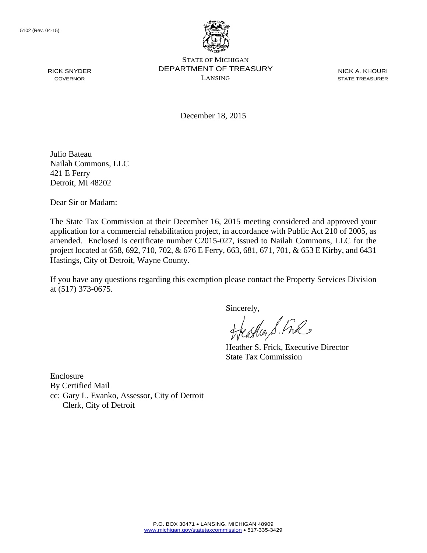

STATE OF MICHIGAN DEPARTMENT OF TREASURY LANSING

NICK A. KHOURI STATE TREASURER

December 18, 2015

Julio Bateau Nailah Commons, LLC 421 E Ferry Detroit, MI 48202

Dear Sir or Madam:

The State Tax Commission at their December 16, 2015 meeting considered and approved your application for a commercial rehabilitation project, in accordance with Public Act 210 of 2005, as amended. Enclosed is certificate number C2015-027, issued to Nailah Commons, LLC for the project located at 658, 692, 710, 702, & 676 E Ferry, 663, 681, 671, 701, & 653 E Kirby, and 6431 Hastings, City of Detroit, Wayne County.

If you have any questions regarding this exemption please contact the Property Services Division at (517) 373-0675.

sincerely,<br>Heather S. Ful

Heather S. Frick, Executive Director State Tax Commission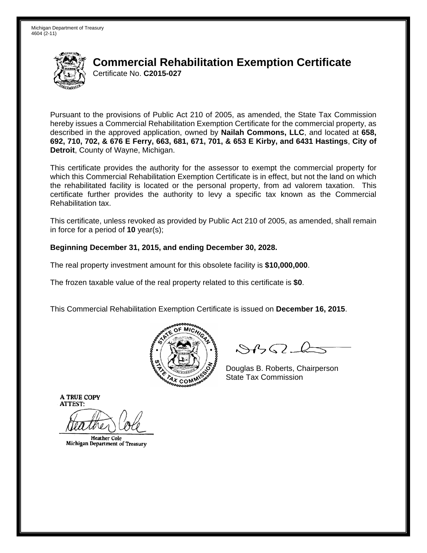

Pursuant to the provisions of Public Act 210 of 2005, as amended, the State Tax Commission hereby issues a Commercial Rehabilitation Exemption Certificate for the commercial property, as described in the approved application, owned by **Nailah Commons, LLC**, and located at **658, 692, 710, 702, & 676 E Ferry, 663, 681, 671, 701, & 653 E Kirby, and 6431 Hastings**, **City of Detroit**, County of Wayne, Michigan.

This certificate provides the authority for the assessor to exempt the commercial property for which this Commercial Rehabilitation Exemption Certificate is in effect, but not the land on which the rehabilitated facility is located or the personal property, from ad valorem taxation. This certificate further provides the authority to levy a specific tax known as the Commercial Rehabilitation tax.

This certificate, unless revoked as provided by Public Act 210 of 2005, as amended, shall remain in force for a period of **10** year(s);

### **Beginning December 31, 2015, and ending December 30, 2028.**

The real property investment amount for this obsolete facility is **\$10,000,000**.

The frozen taxable value of the real property related to this certificate is **\$0**.

This Commercial Rehabilitation Exemption Certificate is issued on **December 16, 2015**.



 $\mathcal{S}$ BO-l

Douglas B. Roberts, Chairperson  $\frac{1}{2}$ State Tax Commission

**Heather Cole** Michigan Department of Treasury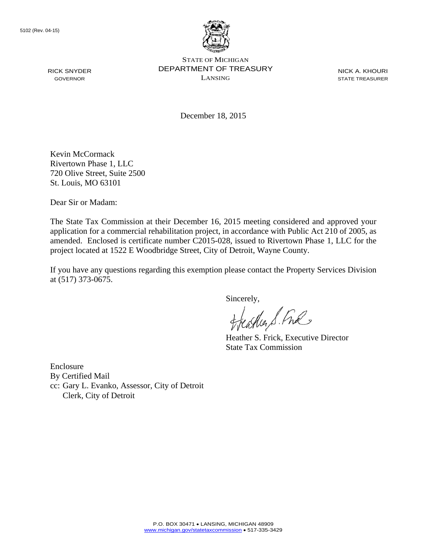

STATE OF MICHIGAN DEPARTMENT OF TREASURY LANSING

NICK A. KHOURI STATE TREASURER

December 18, 2015

Kevin McCormack Rivertown Phase 1, LLC 720 Olive Street, Suite 2500 St. Louis, MO 63101

Dear Sir or Madam:

The State Tax Commission at their December 16, 2015 meeting considered and approved your application for a commercial rehabilitation project, in accordance with Public Act 210 of 2005, as amended. Enclosed is certificate number C2015-028, issued to Rivertown Phase 1, LLC for the project located at 1522 E Woodbridge Street, City of Detroit, Wayne County.

If you have any questions regarding this exemption please contact the Property Services Division at (517) 373-0675.

Sincerely,

aller S. Ful

Heather S. Frick, Executive Director State Tax Commission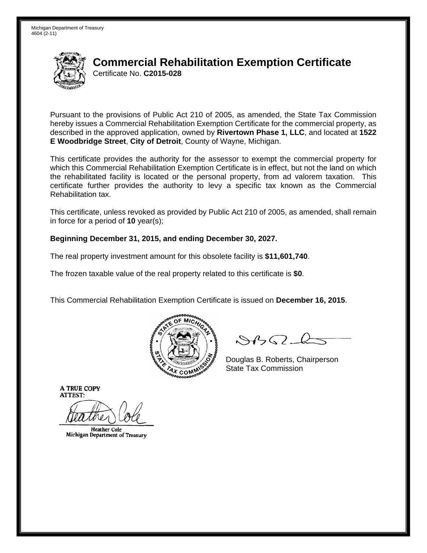

Pursuant to the provisions of Public Act 210 of 2005, as amended, the State Tax Commission hereby issues a Commercial Rehabilitation Exemption Certificate for the commercial property, as described in the approved application, owned by **Rivertown Phase 1, LLC**, and located at **1522 E Woodbridge Street**, **City of Detroit**, County of Wayne, Michigan.

This certificate provides the authority for the assessor to exempt the commercial property for which this Commercial Rehabilitation Exemption Certificate is in effect, but not the land on which the rehabilitated facility is located or the personal property, from ad valorem taxation. This certificate further provides the authority to levy a specific tax known as the Commercial Rehabilitation tax.

This certificate, unless revoked as provided by Public Act 210 of 2005, as amended, shall remain in force for a period of **10** year(s);

### **Beginning December 31, 2015, and ending December 30, 2027.**

The real property investment amount for this obsolete facility is **\$11,601,740**.

The frozen taxable value of the real property related to this certificate is **\$0**.

This Commercial Rehabilitation Exemption Certificate is issued on **December 16, 2015**.



 $8450 - 6$ 

Douglas B. Roberts, Chairperson  $\lambda_{\chi}$  COMMISS State Tax Commission

**Heather Cole** Michigan Department of Treasury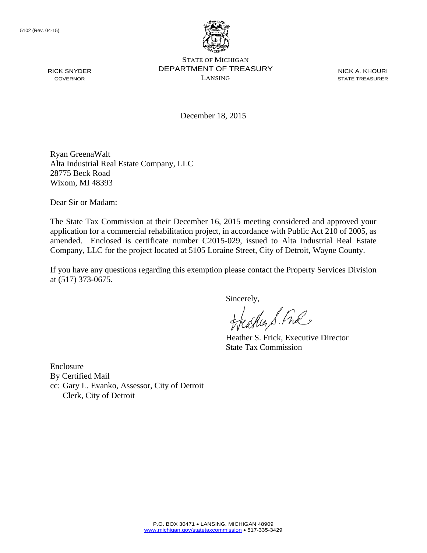

STATE OF MICHIGAN DEPARTMENT OF TREASURY LANSING

NICK A. KHOURI STATE TREASURER

December 18, 2015

Ryan GreenaWalt Alta Industrial Real Estate Company, LLC 28775 Beck Road Wixom, MI 48393

Dear Sir or Madam:

The State Tax Commission at their December 16, 2015 meeting considered and approved your application for a commercial rehabilitation project, in accordance with Public Act 210 of 2005, as amended. Enclosed is certificate number C2015-029, issued to Alta Industrial Real Estate Company, LLC for the project located at 5105 Loraine Street, City of Detroit, Wayne County.

If you have any questions regarding this exemption please contact the Property Services Division at (517) 373-0675.

Sincerely,

aller S. Ful

Heather S. Frick, Executive Director State Tax Commission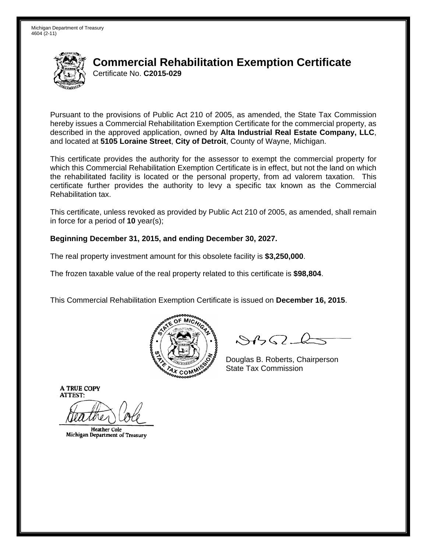

Pursuant to the provisions of Public Act 210 of 2005, as amended, the State Tax Commission hereby issues a Commercial Rehabilitation Exemption Certificate for the commercial property, as described in the approved application, owned by **Alta Industrial Real Estate Company, LLC**, and located at **5105 Loraine Street**, **City of Detroit**, County of Wayne, Michigan.

This certificate provides the authority for the assessor to exempt the commercial property for which this Commercial Rehabilitation Exemption Certificate is in effect, but not the land on which the rehabilitated facility is located or the personal property, from ad valorem taxation. This certificate further provides the authority to levy a specific tax known as the Commercial Rehabilitation tax.

This certificate, unless revoked as provided by Public Act 210 of 2005, as amended, shall remain in force for a period of **10** year(s);

### **Beginning December 31, 2015, and ending December 30, 2027.**

The real property investment amount for this obsolete facility is **\$3,250,000**.

The frozen taxable value of the real property related to this certificate is **\$98,804**.

This Commercial Rehabilitation Exemption Certificate is issued on **December 16, 2015**.



 $8450 - 6$ 

Douglas B. Roberts, Chairperson  $\lambda_{\chi}$  COMMISS State Tax Commission

**Heather Cole** Michigan Department of Treasury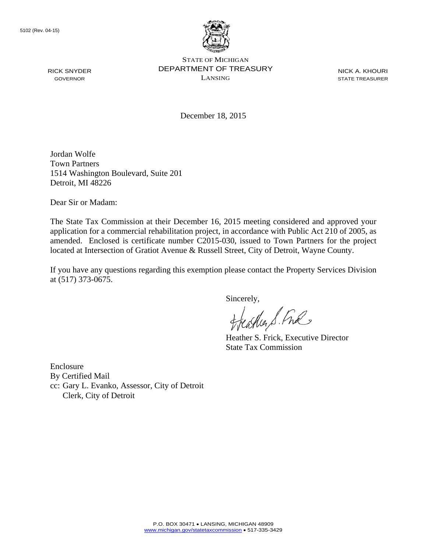

NICK A. KHOURI STATE TREASURER

December 18, 2015

Jordan Wolfe Town Partners 1514 Washington Boulevard, Suite 201 Detroit, MI 48226

Dear Sir or Madam:

The State Tax Commission at their December 16, 2015 meeting considered and approved your application for a commercial rehabilitation project, in accordance with Public Act 210 of 2005, as amended. Enclosed is certificate number C2015-030, issued to Town Partners for the project located at Intersection of Gratiot Avenue & Russell Street, City of Detroit, Wayne County.

If you have any questions regarding this exemption please contact the Property Services Division at (517) 373-0675.

Sincerely,

carlier S. Free

Heather S. Frick, Executive Director State Tax Commission

Enclosure By Certified Mail cc: Gary L. Evanko, Assessor, City of Detroit Clerk, City of Detroit

RICK SNYDER GOVERNOR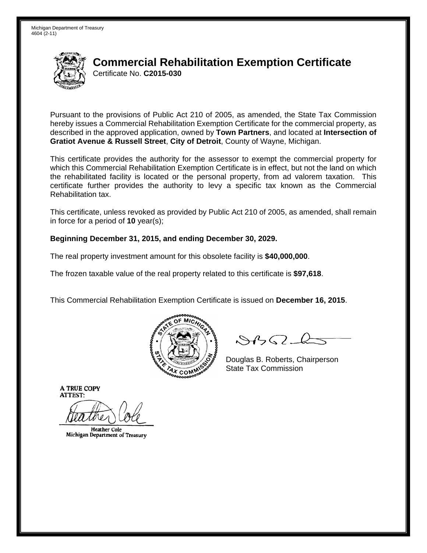

Pursuant to the provisions of Public Act 210 of 2005, as amended, the State Tax Commission hereby issues a Commercial Rehabilitation Exemption Certificate for the commercial property, as described in the approved application, owned by **Town Partners**, and located at **Intersection of Gratiot Avenue & Russell Street**, **City of Detroit**, County of Wayne, Michigan.

This certificate provides the authority for the assessor to exempt the commercial property for which this Commercial Rehabilitation Exemption Certificate is in effect, but not the land on which the rehabilitated facility is located or the personal property, from ad valorem taxation. This certificate further provides the authority to levy a specific tax known as the Commercial Rehabilitation tax.

This certificate, unless revoked as provided by Public Act 210 of 2005, as amended, shall remain in force for a period of **10** year(s);

### **Beginning December 31, 2015, and ending December 30, 2029.**

The real property investment amount for this obsolete facility is **\$40,000,000**.

The frozen taxable value of the real property related to this certificate is **\$97,618**.

This Commercial Rehabilitation Exemption Certificate is issued on **December 16, 2015**.



 $8450 - 6$ 

Douglas B. Roberts, Chairperson  $\lambda_{\chi}$  COMMISS State Tax Commission

**Heather Cole** Michigan Department of Treasury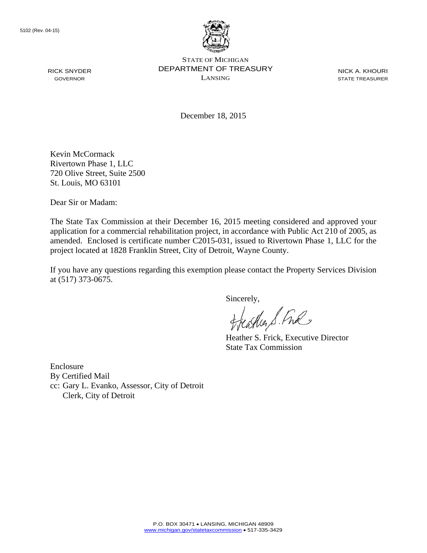

STATE OF MICHIGAN DEPARTMENT OF TREASURY LANSING

NICK A. KHOURI STATE TREASURER

December 18, 2015

Kevin McCormack Rivertown Phase 1, LLC 720 Olive Street, Suite 2500 St. Louis, MO 63101

Dear Sir or Madam:

The State Tax Commission at their December 16, 2015 meeting considered and approved your application for a commercial rehabilitation project, in accordance with Public Act 210 of 2005, as amended. Enclosed is certificate number C2015-031, issued to Rivertown Phase 1, LLC for the project located at 1828 Franklin Street, City of Detroit, Wayne County.

If you have any questions regarding this exemption please contact the Property Services Division at (517) 373-0675.

Sincerely,

castica S. Ful

Heather S. Frick, Executive Director State Tax Commission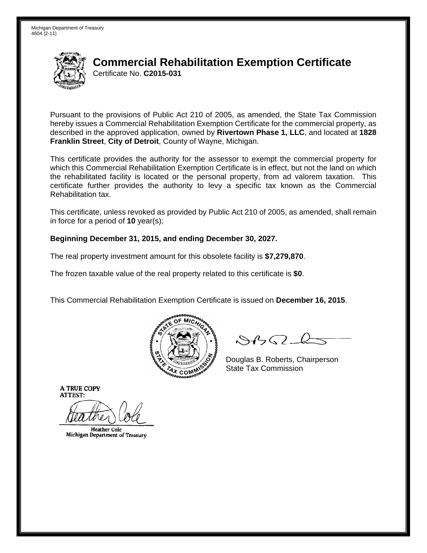

Pursuant to the provisions of Public Act 210 of 2005, as amended, the State Tax Commission hereby issues a Commercial Rehabilitation Exemption Certificate for the commercial property, as described in the approved application, owned by **Rivertown Phase 1, LLC**, and located at **1828 Franklin Street**, **City of Detroit**, County of Wayne, Michigan.

This certificate provides the authority for the assessor to exempt the commercial property for which this Commercial Rehabilitation Exemption Certificate is in effect, but not the land on which the rehabilitated facility is located or the personal property, from ad valorem taxation. This certificate further provides the authority to levy a specific tax known as the Commercial Rehabilitation tax.

This certificate, unless revoked as provided by Public Act 210 of 2005, as amended, shall remain in force for a period of **10** year(s);

### **Beginning December 31, 2015, and ending December 30, 2027.**

The real property investment amount for this obsolete facility is **\$7,279,870**.

The frozen taxable value of the real property related to this certificate is **\$0**.

This Commercial Rehabilitation Exemption Certificate is issued on **December 16, 2015**.



 $8450 - 6$ 

Douglas B. Roberts, Chairperson  $\lambda_{\chi}$  COMMISS State Tax Commission

**Heather Cole** Michigan Department of Treasury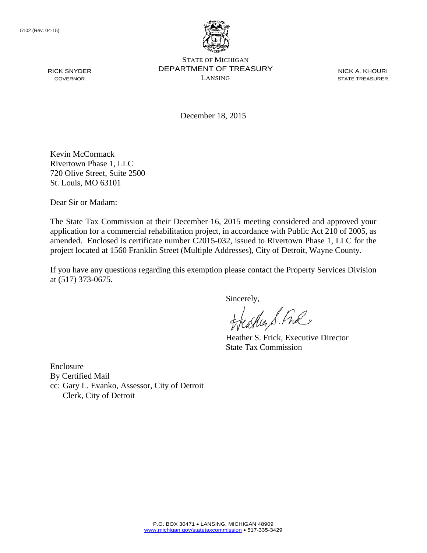

STATE OF MICHIGAN DEPARTMENT OF TREASURY LANSING

NICK A. KHOURI STATE TREASURER

December 18, 2015

Kevin McCormack Rivertown Phase 1, LLC 720 Olive Street, Suite 2500 St. Louis, MO 63101

Dear Sir or Madam:

The State Tax Commission at their December 16, 2015 meeting considered and approved your application for a commercial rehabilitation project, in accordance with Public Act 210 of 2005, as amended. Enclosed is certificate number C2015-032, issued to Rivertown Phase 1, LLC for the project located at 1560 Franklin Street (Multiple Addresses), City of Detroit, Wayne County.

If you have any questions regarding this exemption please contact the Property Services Division at (517) 373-0675.

Sincerely,

aller S. Ful

Heather S. Frick, Executive Director State Tax Commission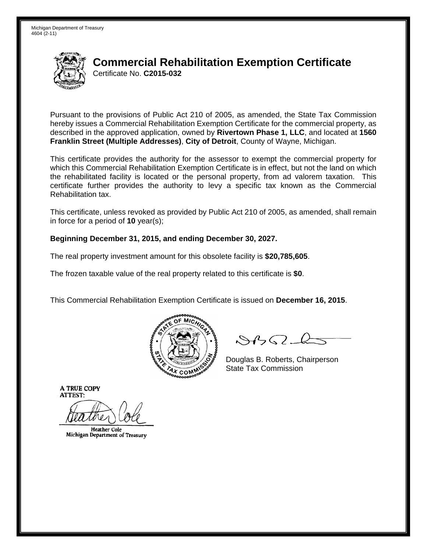

Pursuant to the provisions of Public Act 210 of 2005, as amended, the State Tax Commission hereby issues a Commercial Rehabilitation Exemption Certificate for the commercial property, as described in the approved application, owned by **Rivertown Phase 1, LLC**, and located at **1560 Franklin Street (Multiple Addresses)**, **City of Detroit**, County of Wayne, Michigan.

This certificate provides the authority for the assessor to exempt the commercial property for which this Commercial Rehabilitation Exemption Certificate is in effect, but not the land on which the rehabilitated facility is located or the personal property, from ad valorem taxation. This certificate further provides the authority to levy a specific tax known as the Commercial Rehabilitation tax.

This certificate, unless revoked as provided by Public Act 210 of 2005, as amended, shall remain in force for a period of **10** year(s);

### **Beginning December 31, 2015, and ending December 30, 2027.**

The real property investment amount for this obsolete facility is **\$20,785,605**.

The frozen taxable value of the real property related to this certificate is **\$0**.

This Commercial Rehabilitation Exemption Certificate is issued on **December 16, 2015**.



 $8450 - 6$ 

Douglas B. Roberts, Chairperson  $\lambda_{\chi}$  COMMISS State Tax Commission

**Heather Cole** Michigan Department of Treasury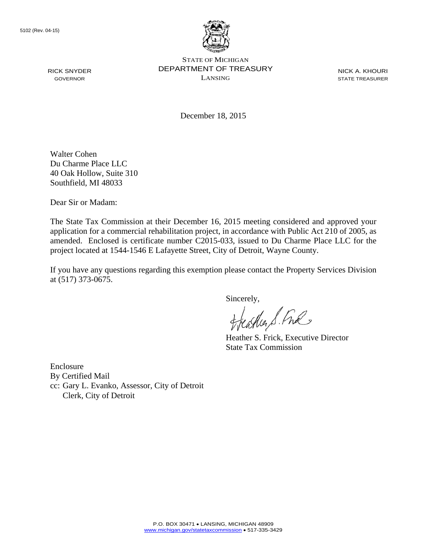

STATE OF MICHIGAN DEPARTMENT OF TREASURY LANSING

NICK A. KHOURI STATE TREASURER

December 18, 2015

Walter Cohen Du Charme Place LLC 40 Oak Hollow, Suite 310 Southfield, MI 48033

Dear Sir or Madam:

The State Tax Commission at their December 16, 2015 meeting considered and approved your application for a commercial rehabilitation project, in accordance with Public Act 210 of 2005, as amended. Enclosed is certificate number C2015-033, issued to Du Charme Place LLC for the project located at 1544-1546 E Lafayette Street, City of Detroit, Wayne County.

If you have any questions regarding this exemption please contact the Property Services Division at (517) 373-0675.

Sincerely,

aller S. Ful

Heather S. Frick, Executive Director State Tax Commission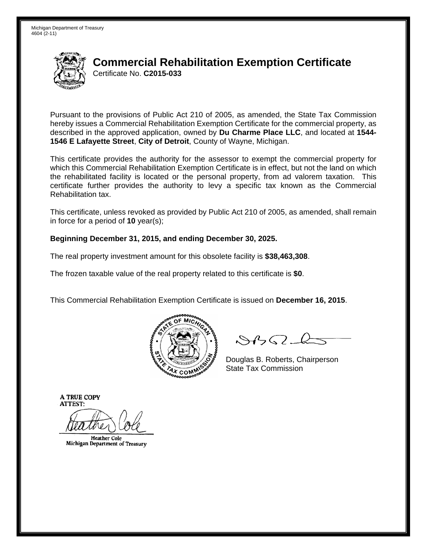

Pursuant to the provisions of Public Act 210 of 2005, as amended, the State Tax Commission hereby issues a Commercial Rehabilitation Exemption Certificate for the commercial property, as described in the approved application, owned by **Du Charme Place LLC**, and located at **1544- 1546 E Lafayette Street**, **City of Detroit**, County of Wayne, Michigan.

This certificate provides the authority for the assessor to exempt the commercial property for which this Commercial Rehabilitation Exemption Certificate is in effect, but not the land on which the rehabilitated facility is located or the personal property, from ad valorem taxation. This certificate further provides the authority to levy a specific tax known as the Commercial Rehabilitation tax.

This certificate, unless revoked as provided by Public Act 210 of 2005, as amended, shall remain in force for a period of **10** year(s);

### **Beginning December 31, 2015, and ending December 30, 2025.**

The real property investment amount for this obsolete facility is **\$38,463,308**.

The frozen taxable value of the real property related to this certificate is **\$0**.

This Commercial Rehabilitation Exemption Certificate is issued on **December 16, 2015**.



 $8450 - 6$ 

Douglas B. Roberts, Chairperson  $\lambda_{\chi}$  COMMISS State Tax Commission

**Heather Cole** Michigan Department of Treasury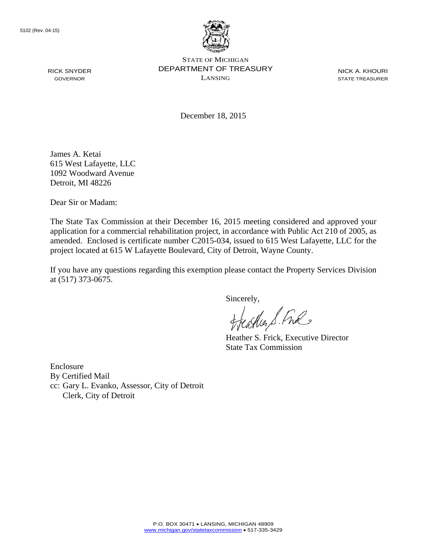

STATE OF MICHIGAN DEPARTMENT OF TREASURY LANSING

NICK A. KHOURI STATE TREASURER

December 18, 2015

James A. Ketai 615 West Lafayette, LLC 1092 Woodward Avenue Detroit, MI 48226

Dear Sir or Madam:

The State Tax Commission at their December 16, 2015 meeting considered and approved your application for a commercial rehabilitation project, in accordance with Public Act 210 of 2005, as amended. Enclosed is certificate number C2015-034, issued to 615 West Lafayette, LLC for the project located at 615 W Lafayette Boulevard, City of Detroit, Wayne County.

If you have any questions regarding this exemption please contact the Property Services Division at (517) 373-0675.

Sincerely,

carlier S. Free

Heather S. Frick, Executive Director State Tax Commission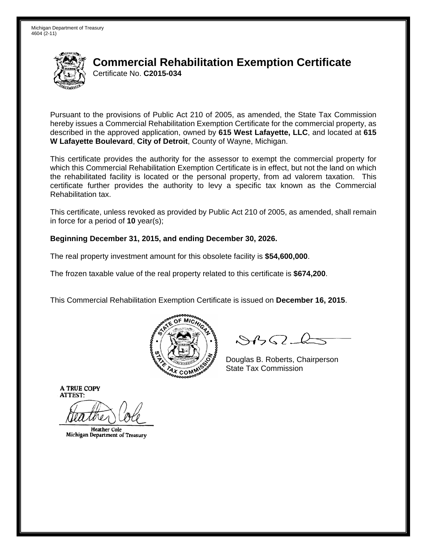

Pursuant to the provisions of Public Act 210 of 2005, as amended, the State Tax Commission hereby issues a Commercial Rehabilitation Exemption Certificate for the commercial property, as described in the approved application, owned by **615 West Lafayette, LLC**, and located at **615 W Lafayette Boulevard**, **City of Detroit**, County of Wayne, Michigan.

This certificate provides the authority for the assessor to exempt the commercial property for which this Commercial Rehabilitation Exemption Certificate is in effect, but not the land on which the rehabilitated facility is located or the personal property, from ad valorem taxation. This certificate further provides the authority to levy a specific tax known as the Commercial Rehabilitation tax.

This certificate, unless revoked as provided by Public Act 210 of 2005, as amended, shall remain in force for a period of **10** year(s);

### **Beginning December 31, 2015, and ending December 30, 2026.**

The real property investment amount for this obsolete facility is **\$54,600,000**.

The frozen taxable value of the real property related to this certificate is **\$674,200**.

This Commercial Rehabilitation Exemption Certificate is issued on **December 16, 2015**.



 $8450 - 6$ 

Douglas B. Roberts, Chairperson  $\lambda_{\chi}$  COMMISS State Tax Commission

**Heather Cole** Michigan Department of Treasury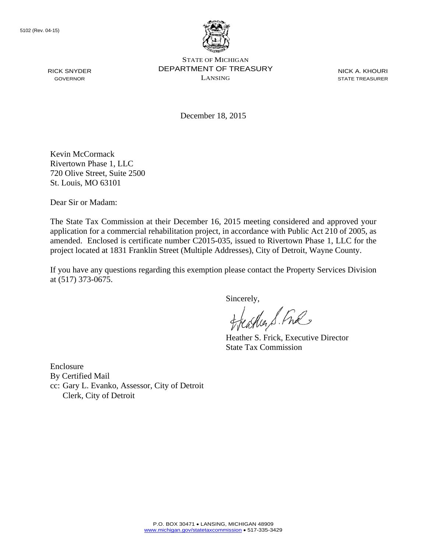

STATE OF MICHIGAN DEPARTMENT OF TREASURY LANSING

NICK A. KHOURI STATE TREASURER

December 18, 2015

Kevin McCormack Rivertown Phase 1, LLC 720 Olive Street, Suite 2500 St. Louis, MO 63101

Dear Sir or Madam:

The State Tax Commission at their December 16, 2015 meeting considered and approved your application for a commercial rehabilitation project, in accordance with Public Act 210 of 2005, as amended. Enclosed is certificate number C2015-035, issued to Rivertown Phase 1, LLC for the project located at 1831 Franklin Street (Multiple Addresses), City of Detroit, Wayne County.

If you have any questions regarding this exemption please contact the Property Services Division at (517) 373-0675.

Sincerely,

aller S. Ful

Heather S. Frick, Executive Director State Tax Commission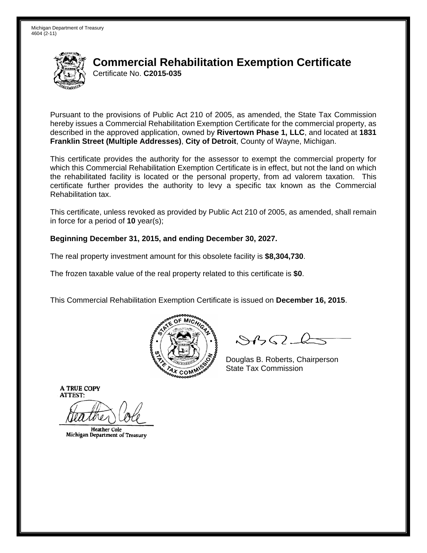

Pursuant to the provisions of Public Act 210 of 2005, as amended, the State Tax Commission hereby issues a Commercial Rehabilitation Exemption Certificate for the commercial property, as described in the approved application, owned by **Rivertown Phase 1, LLC**, and located at **1831 Franklin Street (Multiple Addresses)**, **City of Detroit**, County of Wayne, Michigan.

This certificate provides the authority for the assessor to exempt the commercial property for which this Commercial Rehabilitation Exemption Certificate is in effect, but not the land on which the rehabilitated facility is located or the personal property, from ad valorem taxation. This certificate further provides the authority to levy a specific tax known as the Commercial Rehabilitation tax.

This certificate, unless revoked as provided by Public Act 210 of 2005, as amended, shall remain in force for a period of **10** year(s);

### **Beginning December 31, 2015, and ending December 30, 2027.**

The real property investment amount for this obsolete facility is **\$8,304,730**.

The frozen taxable value of the real property related to this certificate is **\$0**.

This Commercial Rehabilitation Exemption Certificate is issued on **December 16, 2015**.



 $8450 - 6$ 

Douglas B. Roberts, Chairperson  $\lambda_{\chi}$  COMMISS State Tax Commission

**Heather Cole** Michigan Department of Treasury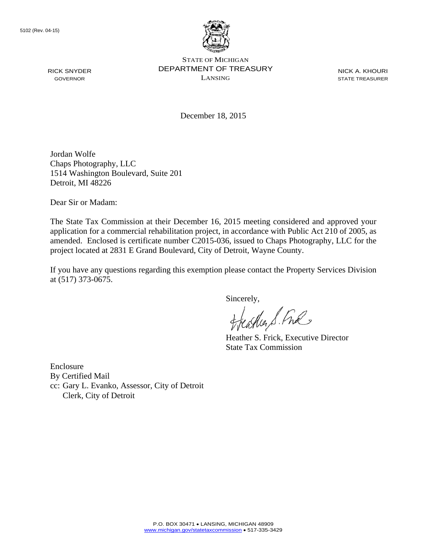

STATE OF MICHIGAN DEPARTMENT OF TREASURY LANSING

NICK A. KHOURI STATE TREASURER

December 18, 2015

Jordan Wolfe Chaps Photography, LLC 1514 Washington Boulevard, Suite 201 Detroit, MI 48226

Dear Sir or Madam:

The State Tax Commission at their December 16, 2015 meeting considered and approved your application for a commercial rehabilitation project, in accordance with Public Act 210 of 2005, as amended. Enclosed is certificate number C2015-036, issued to Chaps Photography, LLC for the project located at 2831 E Grand Boulevard, City of Detroit, Wayne County.

If you have any questions regarding this exemption please contact the Property Services Division at (517) 373-0675.

Sincerely,

carlier S. Free

Heather S. Frick, Executive Director State Tax Commission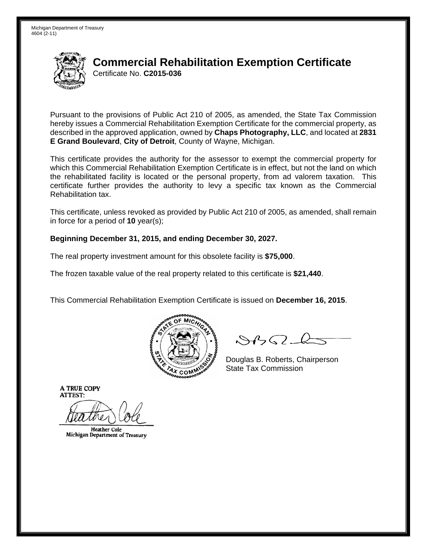

Pursuant to the provisions of Public Act 210 of 2005, as amended, the State Tax Commission hereby issues a Commercial Rehabilitation Exemption Certificate for the commercial property, as described in the approved application, owned by **Chaps Photography, LLC**, and located at **2831 E Grand Boulevard**, **City of Detroit**, County of Wayne, Michigan.

This certificate provides the authority for the assessor to exempt the commercial property for which this Commercial Rehabilitation Exemption Certificate is in effect, but not the land on which the rehabilitated facility is located or the personal property, from ad valorem taxation. This certificate further provides the authority to levy a specific tax known as the Commercial Rehabilitation tax.

This certificate, unless revoked as provided by Public Act 210 of 2005, as amended, shall remain in force for a period of **10** year(s);

### **Beginning December 31, 2015, and ending December 30, 2027.**

The real property investment amount for this obsolete facility is **\$75,000**.

The frozen taxable value of the real property related to this certificate is **\$21,440**.

This Commercial Rehabilitation Exemption Certificate is issued on **December 16, 2015**.



 $8450 - 6$ 

Douglas B. Roberts, Chairperson  $\lambda_{\chi}$  COMMISS State Tax Commission

**Heather Cole** Michigan Department of Treasury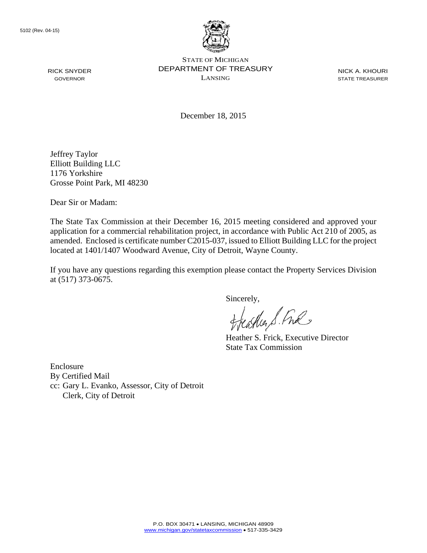

STATE OF MICHIGAN DEPARTMENT OF TREASURY LANSING

NICK A. KHOURI STATE TREASURER

December 18, 2015

Jeffrey Taylor Elliott Building LLC 1176 Yorkshire Grosse Point Park, MI 48230

Dear Sir or Madam:

The State Tax Commission at their December 16, 2015 meeting considered and approved your application for a commercial rehabilitation project, in accordance with Public Act 210 of 2005, as amended. Enclosed is certificate number C2015-037, issued to Elliott Building LLC for the project located at 1401/1407 Woodward Avenue, City of Detroit, Wayne County.

If you have any questions regarding this exemption please contact the Property Services Division at (517) 373-0675.

Sincerely,

aller S. Ful

Heather S. Frick, Executive Director State Tax Commission